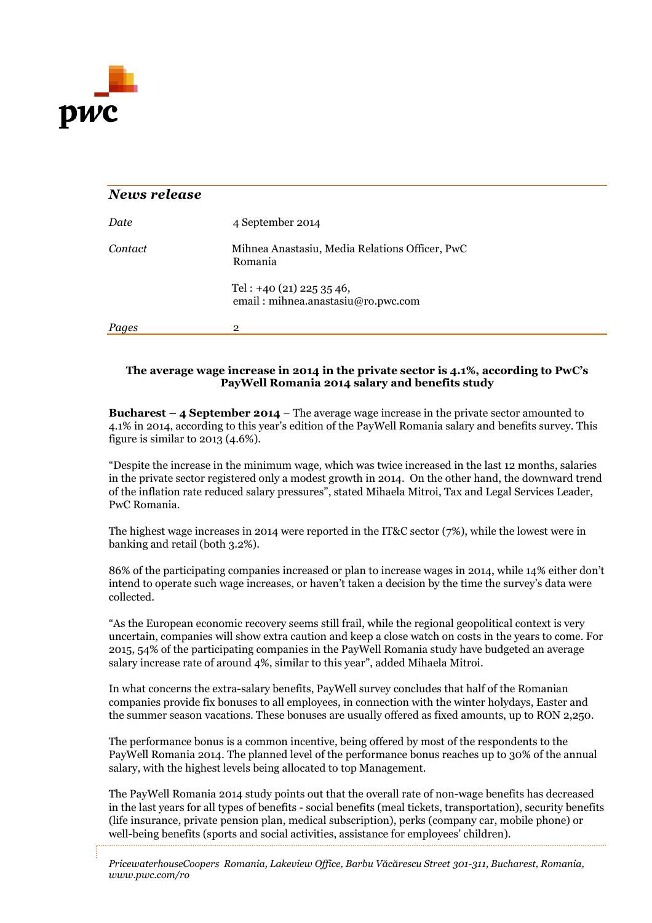

| News release |                                                                  |
|--------------|------------------------------------------------------------------|
| Date         | 4 September 2014                                                 |
| Contact      | Mihnea Anastasiu, Media Relations Officer, PwC<br>Romania        |
|              | Tel: $+40$ (21) 225 35 46,<br>email: mihnea.anastasiu@ro.pwc.com |
| Pages        | $\overline{2}$                                                   |

## **The average wage increase in 2014 in the private sector is 4.1%, according to PwC's PayWell Romania 2014 salary and benefits study**

**Bucharest – 4 September 2014** – The average wage increase in the private sector amounted to 4.1% in 2014, according to this year's edition of the PayWell Romania salary and benefits survey. This figure is similar to 2013 (4.6%).

"Despite the increase in the minimum wage, which was twice increased in the last 12 months, salaries in the private sector registered only a modest growth in 2014. On the other hand, the downward trend of the inflation rate reduced salary pressures", stated Mihaela Mitroi, Tax and Legal Services Leader, PwC Romania.

The highest wage increases in 2014 were reported in the IT&C sector (7%), while the lowest were in banking and retail (both 3.2%).

86% of the participating companies increased or plan to increase wages in 2014, while 14% either don't intend to operate such wage increases, or haven't taken a decision by the time the survey's data were collected.

"As the European economic recovery seems still frail, while the regional geopolitical context is very uncertain, companies will show extra caution and keep a close watch on costs in the years to come. For 2015, 54% of the participating companies in the PayWell Romania study have budgeted an average salary increase rate of around 4%, similar to this year", added Mihaela Mitroi.

In what concerns the extra-salary benefits, PayWell survey concludes that half of the Romanian companies provide fix bonuses to all employees, in connection with the winter holydays, Easter and the summer season vacations. These bonuses are usually offered as fixed amounts, up to RON 2,250.

The performance bonus is a common incentive, being offered by most of the respondents to the PayWell Romania 2014. The planned level of the performance bonus reaches up to 30% of the annual salary, with the highest levels being allocated to top Management.

The PayWell Romania 2014 study points out that the overall rate of non-wage benefits has decreased in the last years for all types of benefits - social benefits (meal tickets, transportation), security benefits (life insurance, private pension plan, medical subscription), perks (company car, mobile phone) or well-being benefits (sports and social activities, assistance for employees' children).

*PricewaterhouseCoopers Romania, Lakeview Office, Barbu Văcărescu Street 301-311, Bucharest, Romania, www.pwc.com/ro*